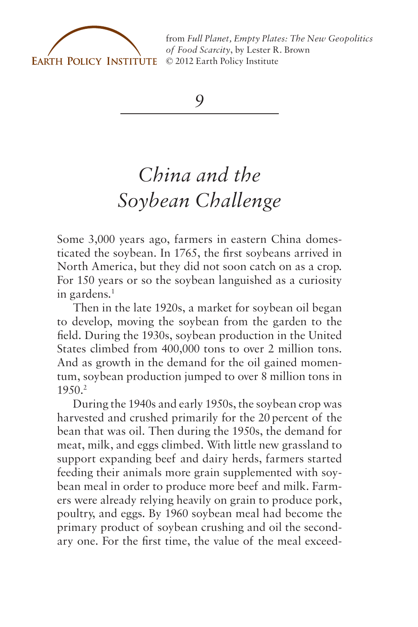

from *[Full Planet, Empty Plates: The New Geopolitics](http://www.earth-policy.org) of Food Scarcity*, by Lester R. Brown © 2012 Earth Policy Institute

*9*

## *China and the Soybean Challenge*

Some 3,000 years ago, farmers in eastern China domesticated the soybean. In 1765, the first soybeans arrived in North America, but they did not soon catch on as a crop. For 150 years or so the soybean languished as a curiosity in gardens.1

Then in the late 1920s, a market for soybean oil began to develop, moving the soybean from the garden to the field. During the 1930s, soybean production in the United States climbed from 400,000 tons to over 2 million tons. And as growth in the demand for the oil gained momentum, soybean production jumped to over 8 million tons in 1950.2

During the 1940s and early 1950s, the soybean crop was harvested and crushed primarily for the 20 percent of the bean that was oil. Then during the 1950s, the demand for meat, milk, and eggs climbed. With little new grassland to support expanding beef and dairy herds, farmers started feeding their animals more grain supplemented with soybean meal in order to produce more beef and milk. Farmers were already relying heavily on grain to produce pork, poultry, and eggs. By 1960 soybean meal had become the primary product of soybean crushing and oil the secondary one. For the first time, the value of the meal exceed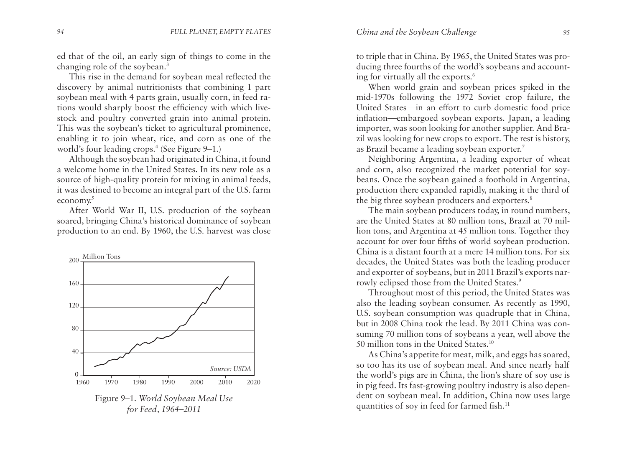ed that of the oil, an early sign of things to come in the changing role of the soybean.3

This rise in the demand for soybean meal reflected the discovery by animal nutritionists that combining 1 part soybean meal with 4 parts grain, usually corn, in feed rations would sharply boost the efficiency with which livestock and poultry converted grain into animal protein. This was the soybean's ticket to agricultural prominence, enabling it to join wheat, rice, and corn as one of the world's four leading crops.<sup>4</sup> (See Figure 9-1.)

Although the soybean had originated in China, it found a welcome home in the United States. In its new role as a source of high-quality protein for mixing in animal feeds, it was destined to become an integral part of the U.S. farm economy.5

After World War II, U.S. production of the soybean soared, bringing China's historical dominance of soybean production to an end. By 1960, the U.S. harvest was close



to triple that in China. By 1965, the United States was producing three fourths of the world's soybeans and accounting for virtually all the exports.6

When world grain and soybean prices spiked in the mid-1970s following the 1972 Soviet crop failure, the United States—in an effort to curb domestic food price inflation—embargoed soybean exports. Japan, a leading importer, was soon looking for another supplier. And Brazil was looking for new crops to export. The rest is history, as Brazil became a leading soybean exporter.7

Neighboring Argentina, a leading exporter of wheat and corn, also recognized the market potential for soybeans. Once the soybean gained a foothold in Argentina, production there expanded rapidly, making it the third of the big three soybean producers and exporters.<sup>8</sup>

The main soybean producers today, in round numbers, are the United States at 80 million tons, Brazil at 70 million tons, and Argentina at 45 million tons. Together they account for over four fifths of world soybean production. China is a distant fourth at a mere 14 million tons. For six decades, the United States was both the leading producer and exporter of soybeans, but in 2011 Brazil's exports narrowly eclipsed those from the United States.<sup>9</sup>

Throughout most of this period, the United States was also the leading soybean consumer. As recently as 1990, U.S. soybean consumption was quadruple that in China, but in 2008 China took the lead. By 2011 China was consuming 70 million tons of soybeans a year, well above the 50 million tons in the United States.<sup>10</sup>

As China's appetite for meat, milk, and eggs has soared, so too has its use of soybean meal. And since nearly half the world's pigs are in China, the lion's share of soy use is in pig feed. Its fast-growing poultry industry is also dependent on soybean meal. In addition, China now uses large quantities of soy in feed for farmed fish.<sup>11</sup>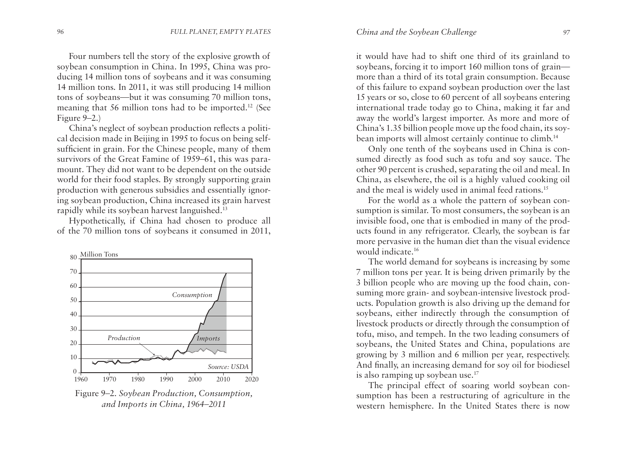Four numbers tell the story of the explosive growth of soybean consumption in China. In 1995, China was producing 14 million tons of soybeans and it was consuming 14 million tons. In 2011, it was still producing 14 million tons of soybeans—but it was consuming 70 million tons, meaning that 56 million tons had to be imported.12 (See Figure 9–2.)

China's neglect of soybean production reflects a political decision made in Beijing in 1995 to focus on being selfsufficient in grain. For the Chinese people, many of them survivors of the Great Famine of 1959–61, this was paramount. They did not want to be dependent on the outside world for their food staples. By strongly supporting grain production with generous subsidies and essentially ignoring soybean production, China increased its grain harvest rapidly while its soybean harvest languished.13

Hypothetically, if China had chosen to produce all of the 70 million tons of soybeans it consumed in 2011,



Figure 9–2. *Soybean Production, Consumption, and Imports in China, 1964–2011*

it would have had to shift one third of its grainland to soybeans, forcing it to import 160 million tons of grain more than a third of its total grain consumption. Because of this failure to expand soybean production over the last 15 years or so, close to 60 percent of all soybeans entering international trade today go to China, making it far and away the world's largest importer. As more and more of China's 1.35 billion people move up the food chain, its soybean imports will almost certainly continue to climb.<sup>14</sup>

Only one tenth of the soybeans used in China is consumed directly as food such as tofu and soy sauce. The other 90 percent is crushed, separating the oil and meal. In China, as elsewhere, the oil is a highly valued cooking oil and the meal is widely used in animal feed rations.<sup>15</sup>

For the world as a whole the pattern of soybean consumption is similar. To most consumers, the soybean is an invisible food, one that is embodied in many of the products found in any refrigerator. Clearly, the soybean is far more pervasive in the human diet than the visual evidence would indicate.16

The world demand for soybeans is increasing by some 7 million tons per year. It is being driven primarily by the 3 billion people who are moving up the food chain, consuming more grain- and soybean-intensive livestock products. Population growth is also driving up the demand for soybeans, either indirectly through the consumption of livestock products or directly through the consumption of tofu, miso, and tempeh. In the two leading consumers of soybeans, the United States and China, populations are growing by 3 million and 6 million per year, respectively. And finally, an increasing demand for soy oil for biodiesel is also ramping up soybean use.<sup>17</sup>

The principal effect of soaring world soybean consumption has been a restructuring of agriculture in the western hemisphere. In the United States there is now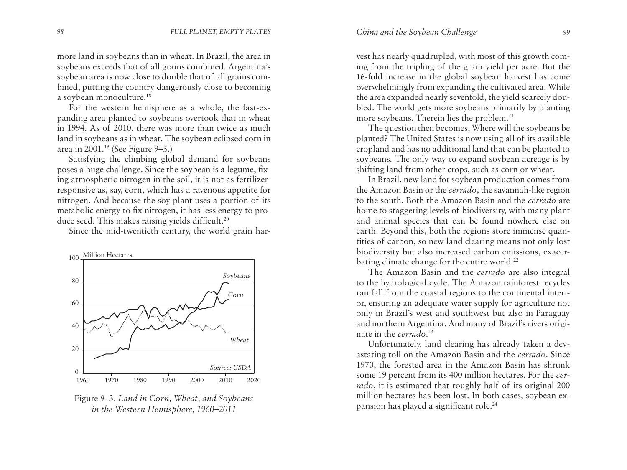more land in soybeans than in wheat. In Brazil, the area in soybeans exceeds that of all grains combined. Argentina's soybean area is now close to double that of all grains combined, putting the country dangerously close to becoming a soybean monoculture.18

For the western hemisphere as a whole, the fast-expanding area planted to soybeans overtook that in wheat in 1994. As of 2010, there was more than twice as much land in soybeans as in wheat. The soybean eclipsed corn in area in 2001.19 (See Figure 9–3.)

Satisfying the climbing global demand for soybeans poses a huge challenge. Since the soybean is a legume, fixing atmospheric nitrogen in the soil, it is not as fertilizerresponsive as, say, corn, which has a ravenous appetite for nitrogen. And because the soy plant uses a portion of its metabolic energy to fix nitrogen, it has less energy to produce seed. This makes raising yields difficult.<sup>20</sup>

Since the mid-twentieth century, the world grain har-



Figure 9–3. *Land in Corn, Wheat, and Soybeans in the Western Hemisphere, 1960–2011*

vest has nearly quadrupled, with most of this growth coming from the tripling of the grain yield per acre. But the 16-fold increase in the global soybean harvest has come overwhelmingly from expanding the cultivated area. While the area expanded nearly sevenfold, the yield scarcely doubled. The world gets more soybeans primarily by planting more soybeans. Therein lies the problem.<sup>21</sup>

The question then becomes, Where will the soybeans be planted? The United States is now using all of its available cropland and has no additional land that can be planted to soybeans. The only way to expand soybean acreage is by shifting land from other crops, such as corn or wheat.

In Brazil, new land for soybean production comes from the Amazon Basin or the *cerrado*, the savannah-like region to the south. Both the Amazon Basin and the *cerrado* are home to staggering levels of biodiversity, with many plant and animal species that can be found nowhere else on earth. Beyond this, both the regions store immense quantities of carbon, so new land clearing means not only lost biodiversity but also increased carbon emissions, exacerbating climate change for the entire world.<sup>22</sup>

The Amazon Basin and the *cerrado* are also integral to the hydrological cycle. The Amazon rainforest recycles rainfall from the coastal regions to the continental interior, ensuring an adequate water supply for agriculture not only in Brazil's west and southwest but also in Paraguay and northern Argentina. And many of Brazil's rivers originate in the *cerrado*. 23

Unfortunately, land clearing has already taken a devastating toll on the Amazon Basin and the *cerrado*. Since 1970, the forested area in the Amazon Basin has shrunk some 19 percent from its 400 million hectares. For the *cerrado*, it is estimated that roughly half of its original 200 million hectares has been lost. In both cases, soybean expansion has played a significant role.24